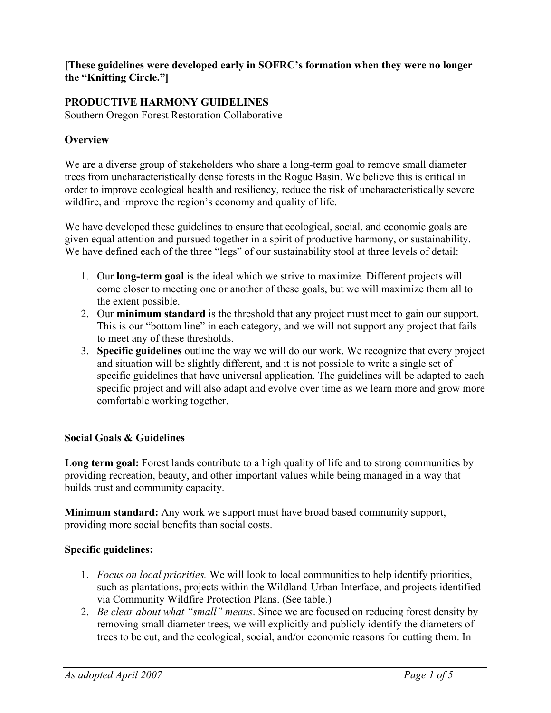**[These guidelines were developed early in SOFRC's formation when they were no longer the "Knitting Circle."]**

## **PRODUCTIVE HARMONY GUIDELINES**

Southern Oregon Forest Restoration Collaborative

#### **Overview**

We are a diverse group of stakeholders who share a long-term goal to remove small diameter trees from uncharacteristically dense forests in the Rogue Basin. We believe this is critical in order to improve ecological health and resiliency, reduce the risk of uncharacteristically severe wildfire, and improve the region's economy and quality of life.

We have developed these guidelines to ensure that ecological, social, and economic goals are given equal attention and pursued together in a spirit of productive harmony, or sustainability. We have defined each of the three "legs" of our sustainability stool at three levels of detail:

- 1. Our **long-term goal** is the ideal which we strive to maximize. Different projects will come closer to meeting one or another of these goals, but we will maximize them all to the extent possible.
- 2. Our **minimum standard** is the threshold that any project must meet to gain our support. This is our "bottom line" in each category, and we will not support any project that fails to meet any of these thresholds.
- 3. **Specific guidelines** outline the way we will do our work. We recognize that every project and situation will be slightly different, and it is not possible to write a single set of specific guidelines that have universal application. The guidelines will be adapted to each specific project and will also adapt and evolve over time as we learn more and grow more comfortable working together.

#### **Social Goals & Guidelines**

**Long term goal:** Forest lands contribute to a high quality of life and to strong communities by providing recreation, beauty, and other important values while being managed in a way that builds trust and community capacity.

**Minimum standard:** Any work we support must have broad based community support, providing more social benefits than social costs.

#### **Specific guidelines:**

- 1. *Focus on local priorities.* We will look to local communities to help identify priorities, such as plantations, projects within the Wildland-Urban Interface, and projects identified via Community Wildfire Protection Plans. (See table.)
- 2. *Be clear about what "small" means*. Since we are focused on reducing forest density by removing small diameter trees, we will explicitly and publicly identify the diameters of trees to be cut, and the ecological, social, and/or economic reasons for cutting them. In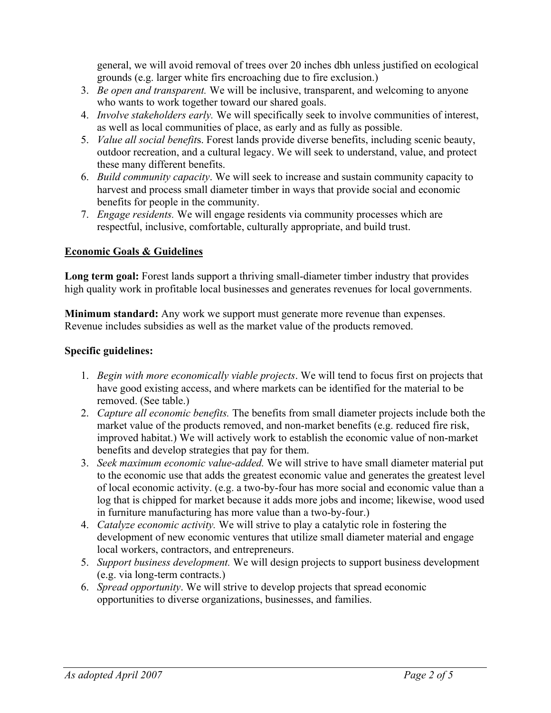general, we will avoid removal of trees over 20 inches dbh unless justified on ecological grounds (e.g. larger white firs encroaching due to fire exclusion.)

- 3. *Be open and transparent.* We will be inclusive, transparent, and welcoming to anyone who wants to work together toward our shared goals.
- 4. *Involve stakeholders early.* We will specifically seek to involve communities of interest, as well as local communities of place, as early and as fully as possible.
- 5. *Value all social benefit*s. Forest lands provide diverse benefits, including scenic beauty, outdoor recreation, and a cultural legacy. We will seek to understand, value, and protect these many different benefits.
- 6. *Build community capacity*. We will seek to increase and sustain community capacity to harvest and process small diameter timber in ways that provide social and economic benefits for people in the community.
- 7. *Engage residents.* We will engage residents via community processes which are respectful, inclusive, comfortable, culturally appropriate, and build trust.

## **Economic Goals & Guidelines**

**Long term goal:** Forest lands support a thriving small-diameter timber industry that provides high quality work in profitable local businesses and generates revenues for local governments.

**Minimum standard:** Any work we support must generate more revenue than expenses. Revenue includes subsidies as well as the market value of the products removed.

#### **Specific guidelines:**

- 1. *Begin with more economically viable projects*. We will tend to focus first on projects that have good existing access, and where markets can be identified for the material to be removed. (See table.)
- 2. *Capture all economic benefits.* The benefits from small diameter projects include both the market value of the products removed, and non-market benefits (e.g. reduced fire risk, improved habitat.) We will actively work to establish the economic value of non-market benefits and develop strategies that pay for them.
- 3. *Seek maximum economic value-added.* We will strive to have small diameter material put to the economic use that adds the greatest economic value and generates the greatest level of local economic activity. (e.g. a two-by-four has more social and economic value than a log that is chipped for market because it adds more jobs and income; likewise, wood used in furniture manufacturing has more value than a two-by-four.)
- 4. *Catalyze economic activity.* We will strive to play a catalytic role in fostering the development of new economic ventures that utilize small diameter material and engage local workers, contractors, and entrepreneurs.
- 5. *Support business development.* We will design projects to support business development (e.g. via long-term contracts.)
- 6. *Spread opportunity*. We will strive to develop projects that spread economic opportunities to diverse organizations, businesses, and families.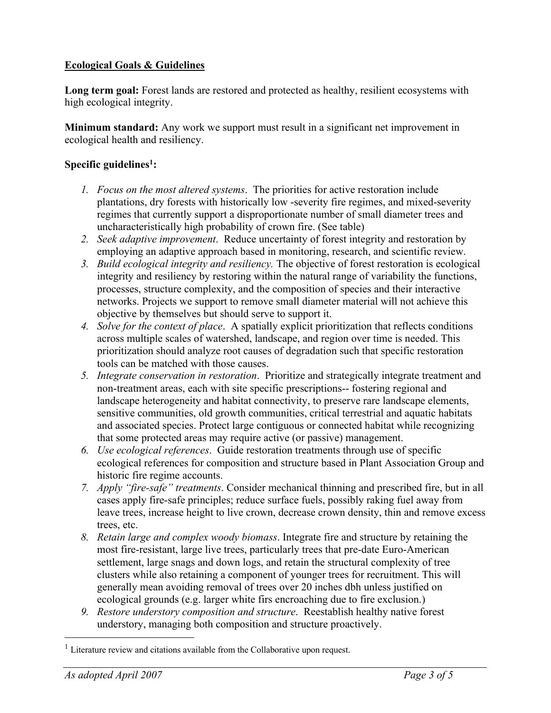## **Ecological Goals & Guidelines**

Long term goal: Forest lands are restored and protected as healthy, resilient ecosystems with high ecological integrity.

**Minimum standard:** Any work we support must result in a significant net improvement in ecological health and resiliency.

# **Specific guidelines1:**

- *1. Focus on the most altered systems*. The priorities for active restoration include plantations, dry forests with historically low -severity fire regimes, and mixed-severity regimes that currently support a disproportionate number of small diameter trees and uncharacteristically high probability of crown fire. (See table)
- *2. Seek adaptive improvement*. Reduce uncertainty of forest integrity and restoration by employing an adaptive approach based in monitoring, research, and scientific review.
- *3. Build ecological integrity and resiliency.* The objective of forest restoration is ecological integrity and resiliency by restoring within the natural range of variability the functions, processes, structure complexity, and the composition of species and their interactive networks. Projects we support to remove small diameter material will not achieve this objective by themselves but should serve to support it.
- *4. Solve for the context of place*. A spatially explicit prioritization that reflects conditions across multiple scales of watershed, landscape, and region over time is needed. This prioritization should analyze root causes of degradation such that specific restoration tools can be matched with those causes.
- *5. Integrate conservation in restoration*. Prioritize and strategically integrate treatment and non-treatment areas, each with site specific prescriptions-- fostering regional and landscape heterogeneity and habitat connectivity, to preserve rare landscape elements, sensitive communities, old growth communities, critical terrestrial and aquatic habitats and associated species. Protect large contiguous or connected habitat while recognizing that some protected areas may require active (or passive) management.
- *6. Use ecological references*. Guide restoration treatments through use of specific ecological references for composition and structure based in Plant Association Group and historic fire regime accounts.
- *7. Apply "fire-safe" treatments*. Consider mechanical thinning and prescribed fire, but in all cases apply fire-safe principles; reduce surface fuels, possibly raking fuel away from leave trees, increase height to live crown, decrease crown density, thin and remove excess trees, etc.
- *8. Retain large and complex woody biomass*. Integrate fire and structure by retaining the most fire-resistant, large live trees, particularly trees that pre-date Euro-American settlement, large snags and down logs, and retain the structural complexity of tree clusters while also retaining a component of younger trees for recruitment. This will generally mean avoiding removal of trees over 20 inches dbh unless justified on ecological grounds (e.g. larger white firs encroaching due to fire exclusion.)
- *9. Restore understory composition and structure*. Reestablish healthy native forest understory, managing both composition and structure proactively.

 $1$  Literature review and citations available from the Collaborative upon request.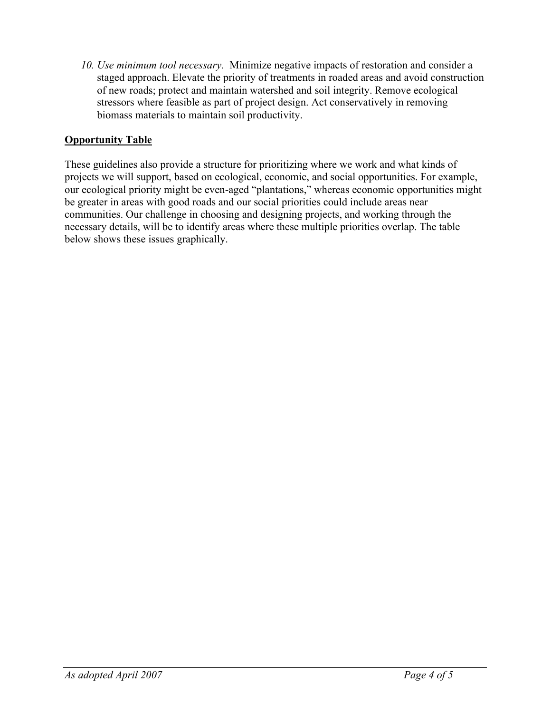*10. Use minimum tool necessary.* Minimize negative impacts of restoration and consider a staged approach. Elevate the priority of treatments in roaded areas and avoid construction of new roads; protect and maintain watershed and soil integrity. Remove ecological stressors where feasible as part of project design. Act conservatively in removing biomass materials to maintain soil productivity.

# **Opportunity Table**

These guidelines also provide a structure for prioritizing where we work and what kinds of projects we will support, based on ecological, economic, and social opportunities. For example, our ecological priority might be even-aged "plantations," whereas economic opportunities might be greater in areas with good roads and our social priorities could include areas near communities. Our challenge in choosing and designing projects, and working through the necessary details, will be to identify areas where these multiple priorities overlap. The table below shows these issues graphically.